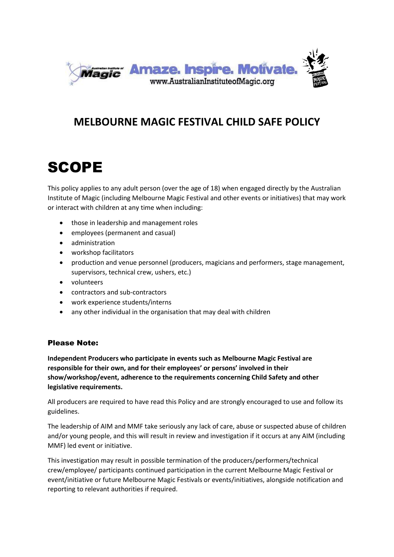

#### **MELBOURNE MAGIC FESTIVAL CHILD SAFE POLICY**

## SCOPE

This policy applies to any adult person (over the age of 18) when engaged directly by the Australian Institute of Magic (including Melbourne Magic Festival and other events or initiatives) that may work or interact with children at any time when including:

- those in leadership and management roles
- employees (permanent and casual)
- administration
- workshop facilitators
- production and venue personnel (producers, magicians and performers, stage management, supervisors, technical crew, ushers, etc.)
- volunteers
- contractors and sub-contractors
- work experience students/interns
- any other individual in the organisation that may deal with children

#### Please Note:

**Independent Producers who participate in events such as Melbourne Magic Festival are responsible for their own, and for their employees' or persons' involved in their show/workshop/event, adherence to the requirements concerning Child Safety and other legislative requirements.** 

All producers are required to have read this Policy and are strongly encouraged to use and follow its guidelines.

The leadership of AIM and MMF take seriously any lack of care, abuse or suspected abuse of children and/or young people, and this will result in review and investigation if it occurs at any AIM (including MMF) led event or initiative.

This investigation may result in possible termination of the producers/performers/technical crew/employee/ participants continued participation in the current Melbourne Magic Festival or event/initiative or future Melbourne Magic Festivals or events/initiatives, alongside notification and reporting to relevant authorities if required.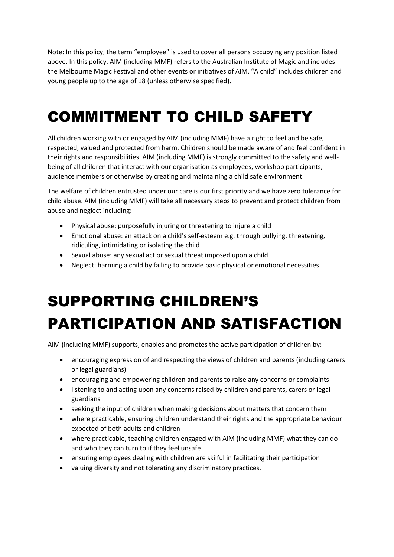Note: In this policy, the term "employee" is used to cover all persons occupying any position listed above. In this policy, AIM (including MMF) refers to the Australian Institute of Magic and includes the Melbourne Magic Festival and other events or initiatives of AIM. "A child" includes children and young people up to the age of 18 (unless otherwise specified).

## COMMITMENT TO CHILD SAFETY

All children working with or engaged by AIM (including MMF) have a right to feel and be safe, respected, valued and protected from harm. Children should be made aware of and feel confident in their rights and responsibilities. AIM (including MMF) is strongly committed to the safety and wellbeing of all children that interact with our organisation as employees, workshop participants, audience members or otherwise by creating and maintaining a child safe environment.

The welfare of children entrusted under our care is our first priority and we have zero tolerance for child abuse. AIM (including MMF) will take all necessary steps to prevent and protect children from abuse and neglect including:

- Physical abuse: purposefully injuring or threatening to injure a child
- Emotional abuse: an attack on a child's self-esteem e.g. through bullying, threatening, ridiculing, intimidating or isolating the child
- Sexual abuse: any sexual act or sexual threat imposed upon a child
- Neglect: harming a child by failing to provide basic physical or emotional necessities.

# SUPPORTING CHILDREN'S PARTICIPATION AND SATISFACTION

AIM (including MMF) supports, enables and promotes the active participation of children by:

- encouraging expression of and respecting the views of children and parents (including carers or legal guardians)
- encouraging and empowering children and parents to raise any concerns or complaints
- listening to and acting upon any concerns raised by children and parents, carers or legal guardians
- seeking the input of children when making decisions about matters that concern them
- where practicable, ensuring children understand their rights and the appropriate behaviour expected of both adults and children
- where practicable, teaching children engaged with AIM (including MMF) what they can do and who they can turn to if they feel unsafe
- ensuring employees dealing with children are skilful in facilitating their participation
- valuing diversity and not tolerating any discriminatory practices.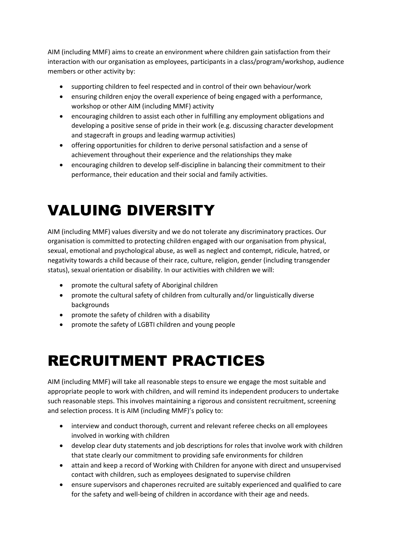AIM (including MMF) aims to create an environment where children gain satisfaction from their interaction with our organisation as employees, participants in a class/program/workshop, audience members or other activity by:

- supporting children to feel respected and in control of their own behaviour/work
- ensuring children enjoy the overall experience of being engaged with a performance, workshop or other AIM (including MMF) activity
- encouraging children to assist each other in fulfilling any employment obligations and developing a positive sense of pride in their work (e.g. discussing character development and stagecraft in groups and leading warmup activities)
- offering opportunities for children to derive personal satisfaction and a sense of achievement throughout their experience and the relationships they make
- encouraging children to develop self-discipline in balancing their commitment to their performance, their education and their social and family activities.

## VALUING DIVERSITY

AIM (including MMF) values diversity and we do not tolerate any discriminatory practices. Our organisation is committed to protecting children engaged with our organisation from physical, sexual, emotional and psychological abuse, as well as neglect and contempt, ridicule, hatred, or negativity towards a child because of their race, culture, religion, gender (including transgender status), sexual orientation or disability. In our activities with children we will:

- promote the cultural safety of Aboriginal children
- promote the cultural safety of children from culturally and/or linguistically diverse backgrounds
- promote the safety of children with a disability
- promote the safety of LGBTI children and young people

#### RECRUITMENT PRACTICES

AIM (including MMF) will take all reasonable steps to ensure we engage the most suitable and appropriate people to work with children, and will remind its independent producers to undertake such reasonable steps. This involves maintaining a rigorous and consistent recruitment, screening and selection process. It is AIM (including MMF)'s policy to:

- interview and conduct thorough, current and relevant referee checks on all employees involved in working with children
- develop clear duty statements and job descriptions for roles that involve work with children that state clearly our commitment to providing safe environments for children
- attain and keep a record of Working with Children for anyone with direct and unsupervised contact with children, such as employees designated to supervise children
- ensure supervisors and chaperones recruited are suitably experienced and qualified to care for the safety and well-being of children in accordance with their age and needs.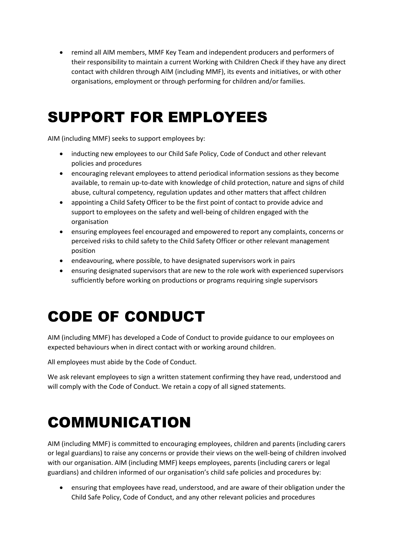remind all AIM members, MMF Key Team and independent producers and performers of their responsibility to maintain a current Working with Children Check if they have any direct contact with children through AIM (including MMF), its events and initiatives, or with other organisations, employment or through performing for children and/or families.

#### SUPPORT FOR EMPLOYEES

AIM (including MMF) seeks to support employees by:

- inducting new employees to our Child Safe Policy, Code of Conduct and other relevant policies and procedures
- encouraging relevant employees to attend periodical information sessions as they become available, to remain up-to-date with knowledge of child protection, nature and signs of child abuse, cultural competency, regulation updates and other matters that affect children
- appointing a Child Safety Officer to be the first point of contact to provide advice and support to employees on the safety and well-being of children engaged with the organisation
- ensuring employees feel encouraged and empowered to report any complaints, concerns or perceived risks to child safety to the Child Safety Officer or other relevant management position
- endeavouring, where possible, to have designated supervisors work in pairs
- ensuring designated supervisors that are new to the role work with experienced supervisors sufficiently before working on productions or programs requiring single supervisors

## CODE OF CONDUCT

AIM (including MMF) has developed a Code of Conduct to provide guidance to our employees on expected behaviours when in direct contact with or working around children.

All employees must abide by the Code of Conduct.

We ask relevant employees to sign a written statement confirming they have read, understood and will comply with the Code of Conduct. We retain a copy of all signed statements.

## COMMUNICATION

AIM (including MMF) is committed to encouraging employees, children and parents (including carers or legal guardians) to raise any concerns or provide their views on the well-being of children involved with our organisation. AIM (including MMF) keeps employees, parents (including carers or legal guardians) and children informed of our organisation's child safe policies and procedures by:

 ensuring that employees have read, understood, and are aware of their obligation under the Child Safe Policy, Code of Conduct, and any other relevant policies and procedures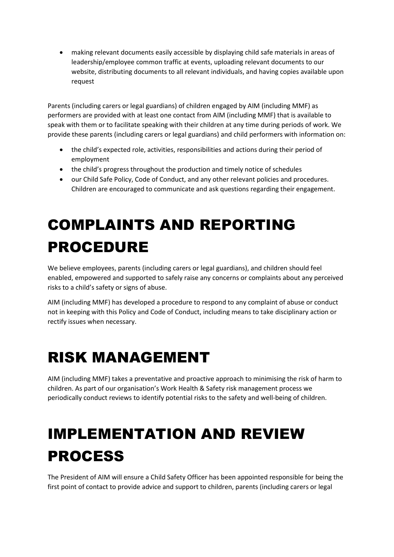making relevant documents easily accessible by displaying child safe materials in areas of leadership/employee common traffic at events, uploading relevant documents to our website, distributing documents to all relevant individuals, and having copies available upon request

Parents (including carers or legal guardians) of children engaged by AIM (including MMF) as performers are provided with at least one contact from AIM (including MMF) that is available to speak with them or to facilitate speaking with their children at any time during periods of work. We provide these parents (including carers or legal guardians) and child performers with information on:

- the child's expected role, activities, responsibilities and actions during their period of employment
- the child's progress throughout the production and timely notice of schedules
- our Child Safe Policy, Code of Conduct, and any other relevant policies and procedures. Children are encouraged to communicate and ask questions regarding their engagement.

## COMPLAINTS AND REPORTING PROCEDURE

We believe employees, parents (including carers or legal guardians), and children should feel enabled, empowered and supported to safely raise any concerns or complaints about any perceived risks to a child's safety or signs of abuse.

AIM (including MMF) has developed a procedure to respond to any complaint of abuse or conduct not in keeping with this Policy and Code of Conduct, including means to take disciplinary action or rectify issues when necessary.

## RISK MANAGEMENT

AIM (including MMF) takes a preventative and proactive approach to minimising the risk of harm to children. As part of our organisation's Work Health & Safety risk management process we periodically conduct reviews to identify potential risks to the safety and well-being of children.

## IMPLEMENTATION AND REVIEW PROCESS

The President of AIM will ensure a Child Safety Officer has been appointed responsible for being the first point of contact to provide advice and support to children, parents (including carers or legal